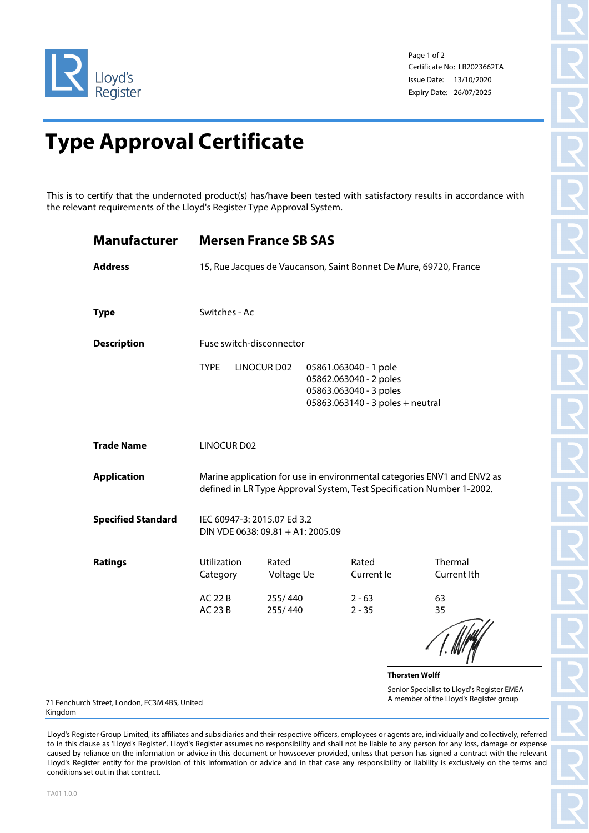

Page 1 of 2 Certificate No: LR2023662TA Issue Date: 13/10/2020 Expiry Date: 26/07/2025

## **Type Approval Certificate**

This is to certify that the undernoted product(s) has/have been tested with satisfactory results in accordance with the relevant requirements of the Lloyd's Register Type Approval System.

| Manufacturer                       | <b>Mersen France SB SAS</b>                                                                                                                      |                     |                                                                                                               |                      |                       |                                                                                      |  |  |
|------------------------------------|--------------------------------------------------------------------------------------------------------------------------------------------------|---------------------|---------------------------------------------------------------------------------------------------------------|----------------------|-----------------------|--------------------------------------------------------------------------------------|--|--|
| <b>Address</b>                     | 15, Rue Jacques de Vaucanson, Saint Bonnet De Mure, 69720, France                                                                                |                     |                                                                                                               |                      |                       |                                                                                      |  |  |
| <b>Type</b>                        | Switches - Ac                                                                                                                                    |                     |                                                                                                               |                      |                       |                                                                                      |  |  |
| <b>Description</b>                 | Fuse switch-disconnector                                                                                                                         |                     |                                                                                                               |                      |                       |                                                                                      |  |  |
|                                    | <b>TYPE</b>                                                                                                                                      | LINOCUR D02         | 05861.063040 - 1 pole<br>05862.063040 - 2 poles<br>05863.063040 - 3 poles<br>05863.063140 - 3 poles + neutral |                      |                       |                                                                                      |  |  |
| <b>Trade Name</b>                  | <b>LINOCUR D02</b>                                                                                                                               |                     |                                                                                                               |                      |                       |                                                                                      |  |  |
| <b>Application</b>                 | Marine application for use in environmental categories ENV1 and ENV2 as<br>defined in LR Type Approval System, Test Specification Number 1-2002. |                     |                                                                                                               |                      |                       |                                                                                      |  |  |
| <b>Specified Standard</b>          | IEC 60947-3: 2015.07 Ed 3.2<br>DIN VDE 0638: 09.81 + A1: 2005.09                                                                                 |                     |                                                                                                               |                      |                       |                                                                                      |  |  |
| <b>Ratings</b>                     | Utilization<br>Category                                                                                                                          | Rated<br>Voltage Ue |                                                                                                               | Rated<br>Current le  |                       | Thermal<br>Current Ith                                                               |  |  |
|                                    | <b>AC 22 B</b><br><b>AC 23 B</b>                                                                                                                 | 255/440<br>255/440  |                                                                                                               | $2 - 63$<br>$2 - 35$ |                       | 63<br>35                                                                             |  |  |
|                                    |                                                                                                                                                  |                     |                                                                                                               |                      | <b>Thorsten Wolff</b> |                                                                                      |  |  |
| h Street, London, EC3M 4BS, United |                                                                                                                                                  |                     |                                                                                                               |                      |                       | Senior Specialist to Lloyd's Register EMEA<br>A member of the Lloyd's Register group |  |  |

71 Fenchurc Kingdom

Lloyd's Register Group Limited, its affiliates and subsidiaries and their respective officers, employees or agents are, individually and collectively, referred to in this clause as 'Lloyd's Register'. Lloyd's Register assumes no responsibility and shall not be liable to any person for any loss, damage or expense caused by reliance on the information or advice in this document or howsoever provided, unless that person has signed a contract with the relevant Lloyd's Register entity for the provision of this information or advice and in that case any responsibility or liability is exclusively on the terms and conditions set out in that contract.